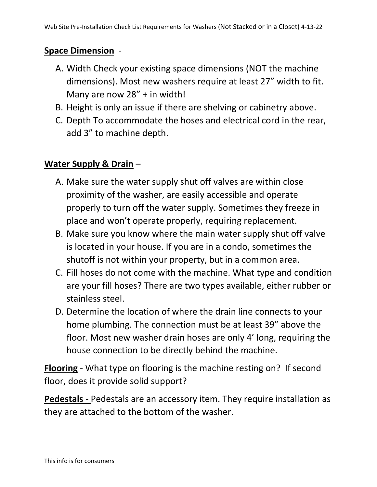## **Space Dimension** -

- A. Width Check your existing space dimensions (NOT the machine dimensions). Most new washers require at least 27" width to fit. Many are now 28" + in width!
- B. Height is only an issue if there are shelving or cabinetry above.
- C. Depth To accommodate the hoses and electrical cord in the rear, add 3" to machine depth.

## **Water Supply & Drain** –

- A. Make sure the water supply shut off valves are within close proximity of the washer, are easily accessible and operate properly to turn off the water supply. Sometimes they freeze in place and won't operate properly, requiring replacement.
- B. Make sure you know where the main water supply shut off valve is located in your house. If you are in a condo, sometimes the shutoff is not within your property, but in a common area.
- C. Fill hoses do not come with the machine. What type and condition are your fill hoses? There are two types available, either rubber or stainless steel.
- D. Determine the location of where the drain line connects to your home plumbing. The connection must be at least 39" above the floor. Most new washer drain hoses are only 4' long, requiring the house connection to be directly behind the machine.

**Flooring** - What type on flooring is the machine resting on? If second floor, does it provide solid support?

**Pedestals -** Pedestals are an accessory item. They require installation as they are attached to the bottom of the washer.